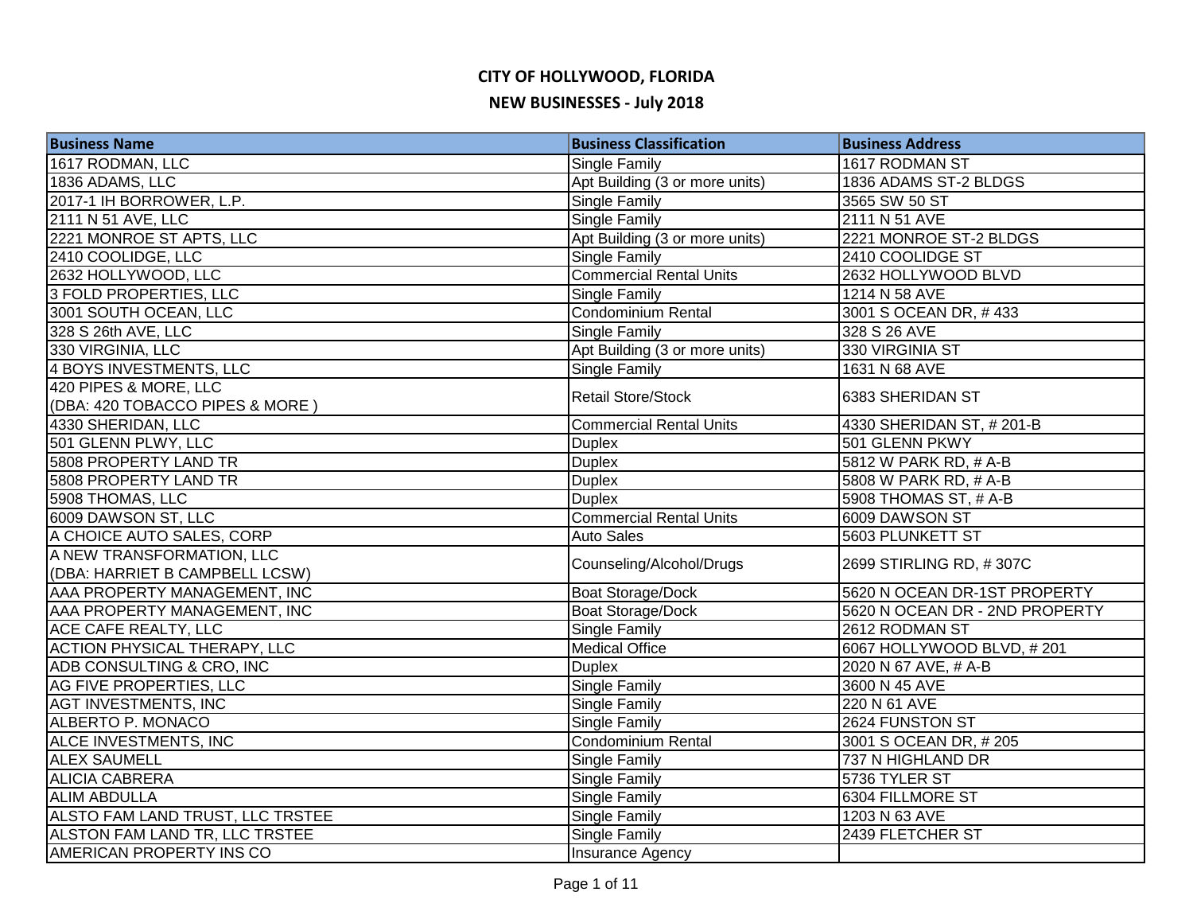| <b>Business Name</b>                | <b>Business Classification</b> | <b>Business Address</b>        |
|-------------------------------------|--------------------------------|--------------------------------|
| 1617 RODMAN, LLC                    | <b>Single Family</b>           | 1617 RODMAN ST                 |
| 1836 ADAMS, LLC                     | Apt Building (3 or more units) | 1836 ADAMS ST-2 BLDGS          |
| 2017-1 IH BORROWER, L.P.            | Single Family                  | 3565 SW 50 ST                  |
| 2111 N 51 AVE, LLC                  | <b>Single Family</b>           | 2111 N 51 AVE                  |
| 2221 MONROE ST APTS, LLC            | Apt Building (3 or more units) | 2221 MONROE ST-2 BLDGS         |
| 2410 COOLIDGE, LLC                  | <b>Single Family</b>           | 2410 COOLIDGE ST               |
| 2632 HOLLYWOOD, LLC                 | <b>Commercial Rental Units</b> | 2632 HOLLYWOOD BLVD            |
| 3 FOLD PROPERTIES, LLC              | <b>Single Family</b>           | 1214 N 58 AVE                  |
| 3001 SOUTH OCEAN, LLC               | Condominium Rental             | 3001 S OCEAN DR, #433          |
| 328 S 26th AVE, LLC                 | Single Family                  | 328 S 26 AVE                   |
| 330 VIRGINIA, LLC                   | Apt Building (3 or more units) | 330 VIRGINIA ST                |
| 4 BOYS INVESTMENTS, LLC             | Single Family                  | 1631 N 68 AVE                  |
| 420 PIPES & MORE, LLC               | <b>Retail Store/Stock</b>      | 6383 SHERIDAN ST               |
| (DBA: 420 TOBACCO PIPES & MORE)     |                                |                                |
| 4330 SHERIDAN, LLC                  | <b>Commercial Rental Units</b> | 4330 SHERIDAN ST, #201-B       |
| 501 GLENN PLWY, LLC                 | <b>Duplex</b>                  | 501 GLENN PKWY                 |
| 5808 PROPERTY LAND TR               | <b>Duplex</b>                  | 5812 W PARK RD, # A-B          |
| 5808 PROPERTY LAND TR               | <b>Duplex</b>                  | 5808 W PARK RD, # A-B          |
| 5908 THOMAS, LLC                    | <b>Duplex</b>                  | 5908 THOMAS ST, # A-B          |
| 6009 DAWSON ST, LLC                 | <b>Commercial Rental Units</b> | 6009 DAWSON ST                 |
| A CHOICE AUTO SALES, CORP           | <b>Auto Sales</b>              | 5603 PLUNKETT ST               |
| A NEW TRANSFORMATION, LLC           | Counseling/Alcohol/Drugs       | 2699 STIRLING RD, #307C        |
| (DBA: HARRIET B CAMPBELL LCSW)      |                                |                                |
| AAA PROPERTY MANAGEMENT, INC        | <b>Boat Storage/Dock</b>       | 5620 N OCEAN DR-1ST PROPERTY   |
| AAA PROPERTY MANAGEMENT, INC        | <b>Boat Storage/Dock</b>       | 5620 N OCEAN DR - 2ND PROPERTY |
| ACE CAFE REALTY, LLC                | <b>Single Family</b>           | 2612 RODMAN ST                 |
| <b>ACTION PHYSICAL THERAPY, LLC</b> | <b>Medical Office</b>          | 6067 HOLLYWOOD BLVD, #201      |
| ADB CONSULTING & CRO, INC           | <b>Duplex</b>                  | 2020 N 67 AVE, # A-B           |
| AG FIVE PROPERTIES, LLC             | Single Family                  | 3600 N 45 AVE                  |
| <b>AGT INVESTMENTS, INC</b>         | Single Family                  | 220 N 61 AVE                   |
| ALBERTO P. MONACO                   | <b>Single Family</b>           | 2624 FUNSTON ST                |
| ALCE INVESTMENTS, INC               | <b>Condominium Rental</b>      | 3001 S OCEAN DR, #205          |
| <b>ALEX SAUMELL</b>                 | Single Family                  | 737 N HIGHLAND DR              |
| <b>ALICIA CABRERA</b>               | <b>Single Family</b>           | 5736 TYLER ST                  |
| <b>ALIM ABDULLA</b>                 | Single Family                  | 6304 FILLMORE ST               |
| ALSTO FAM LAND TRUST, LLC TRSTEE    | <b>Single Family</b>           | 1203 N 63 AVE                  |
| ALSTON FAM LAND TR, LLC TRSTEE      | <b>Single Family</b>           | 2439 FLETCHER ST               |
| <b>AMERICAN PROPERTY INS CO</b>     | <b>Insurance Agency</b>        |                                |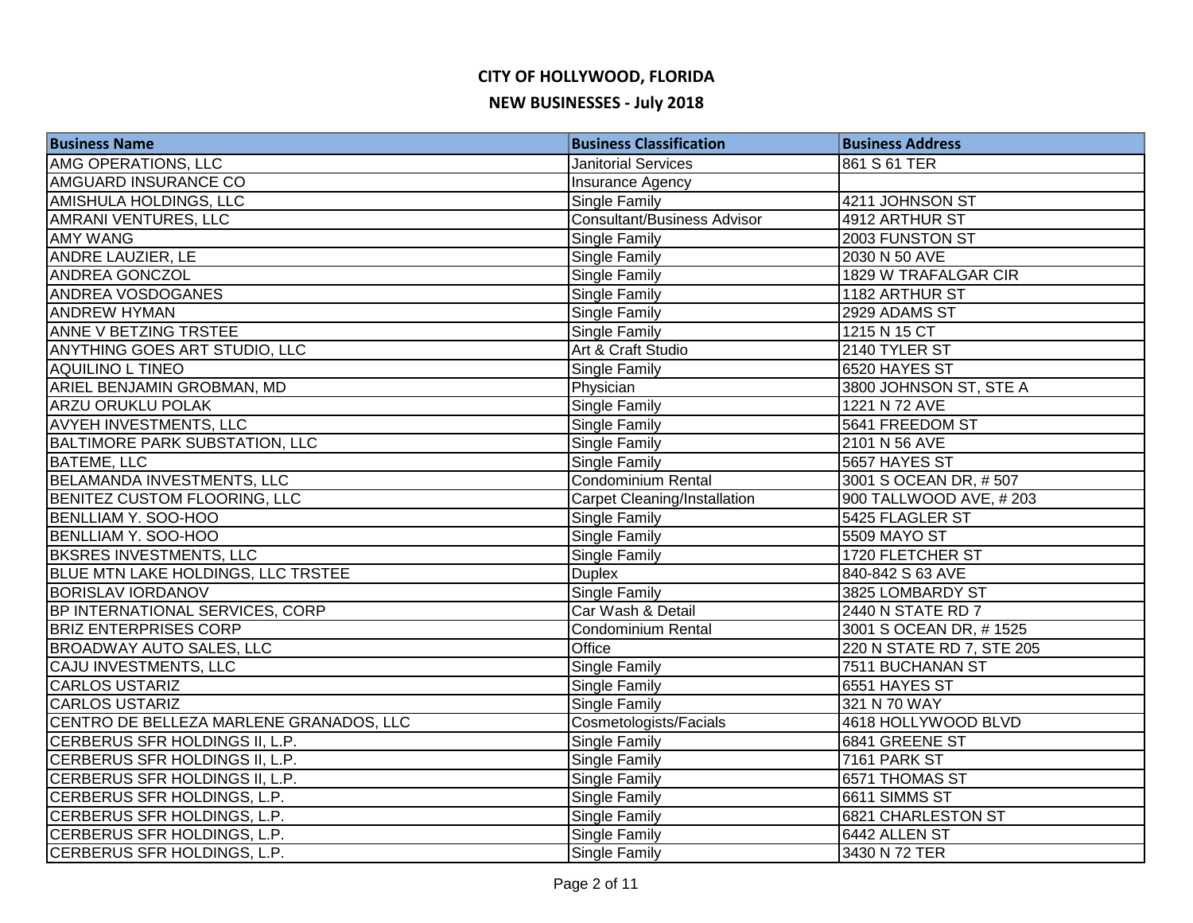| <b>Business Name</b>                    | <b>Business Classification</b>      | <b>Business Address</b>     |
|-----------------------------------------|-------------------------------------|-----------------------------|
| AMG OPERATIONS, LLC                     | <b>Janitorial Services</b>          | 861 S 61 TER                |
| AMGUARD INSURANCE CO                    | <b>Insurance Agency</b>             |                             |
| AMISHULA HOLDINGS, LLC                  | Single Family                       | 4211 JOHNSON ST             |
| AMRANI VENTURES, LLC                    | <b>Consultant/Business Advisor</b>  | 4912 ARTHUR ST              |
| <b>AMY WANG</b>                         | Single Family                       | 2003 FUNSTON ST             |
| <b>ANDRE LAUZIER, LE</b>                | <b>Single Family</b>                | 2030 N 50 AVE               |
| <b>ANDREA GONCZOL</b>                   | <b>Single Family</b>                | <b>1829 W TRAFALGAR CIR</b> |
| <b>ANDREA VOSDOGANES</b>                | Single Family                       | 1182 ARTHUR ST              |
| <b>ANDREW HYMAN</b>                     | Single Family                       | 2929 ADAMS ST               |
| <b>ANNE V BETZING TRSTEE</b>            | <b>Single Family</b>                | 1215 N 15 CT                |
| ANYTHING GOES ART STUDIO, LLC           | Art & Craft Studio                  | 2140 TYLER ST               |
| <b>AQUILINO L TINEO</b>                 | Single Family                       | 6520 HAYES ST               |
| ARIEL BENJAMIN GROBMAN, MD              | Physician                           | 3800 JOHNSON ST, STE A      |
| <b>ARZU ORUKLU POLAK</b>                | <b>Single Family</b>                | 1221 N 72 AVE               |
| <b>AVYEH INVESTMENTS, LLC</b>           | Single Family                       | 5641 FREEDOM ST             |
| BALTIMORE PARK SUBSTATION, LLC          | <b>Single Family</b>                | 2101 N 56 AVE               |
| <b>BATEME, LLC</b>                      | Single Family                       | 5657 HAYES ST               |
| <b>BELAMANDA INVESTMENTS, LLC</b>       | Condominium Rental                  | 3001 S OCEAN DR, #507       |
| BENITEZ CUSTOM FLOORING, LLC            | <b>Carpet Cleaning/Installation</b> | 900 TALLWOOD AVE, #203      |
| <b>BENLLIAM Y. SOO-HOO</b>              | Single Family                       | 5425 FLAGLER ST             |
| <b>BENLLIAM Y. SOO-HOO</b>              | Single Family                       | 5509 MAYO ST                |
| <b>BKSRES INVESTMENTS, LLC</b>          | <b>Single Family</b>                | 1720 FLETCHER ST            |
| BLUE MTN LAKE HOLDINGS, LLC TRSTEE      | <b>Duplex</b>                       | 840-842 S 63 AVE            |
| <b>BORISLAV IORDANOV</b>                | <b>Single Family</b>                | 3825 LOMBARDY ST            |
| BP INTERNATIONAL SERVICES, CORP         | Car Wash & Detail                   | 2440 N STATE RD 7           |
| <b>BRIZ ENTERPRISES CORP</b>            | Condominium Rental                  | 3001 S OCEAN DR, #1525      |
| <b>BROADWAY AUTO SALES, LLC</b>         | Office                              | 220 N STATE RD 7, STE 205   |
| CAJU INVESTMENTS, LLC                   | Single Family                       | 7511 BUCHANAN ST            |
| <b>CARLOS USTARIZ</b>                   | <b>Single Family</b>                | 6551 HAYES ST               |
| <b>CARLOS USTARIZ</b>                   | Single Family                       | 321 N 70 WAY                |
| CENTRO DE BELLEZA MARLENE GRANADOS, LLC | Cosmetologists/Facials              | 4618 HOLLYWOOD BLVD         |
| CERBERUS SFR HOLDINGS II, L.P.          | <b>Single Family</b>                | 6841 GREENE ST              |
| CERBERUS SFR HOLDINGS II, L.P.          | Single Family                       | 7161 PARK ST                |
| CERBERUS SFR HOLDINGS II, L.P.          | <b>Single Family</b>                | 6571 THOMAS ST              |
| CERBERUS SFR HOLDINGS, L.P.             | <b>Single Family</b>                | 6611 SIMMS ST               |
| CERBERUS SFR HOLDINGS, L.P.             | Single Family                       | 6821 CHARLESTON ST          |
| CERBERUS SFR HOLDINGS, L.P.             | <b>Single Family</b>                | 6442 ALLEN ST               |
| CERBERUS SFR HOLDINGS, L.P.             | Single Family                       | 3430 N 72 TER               |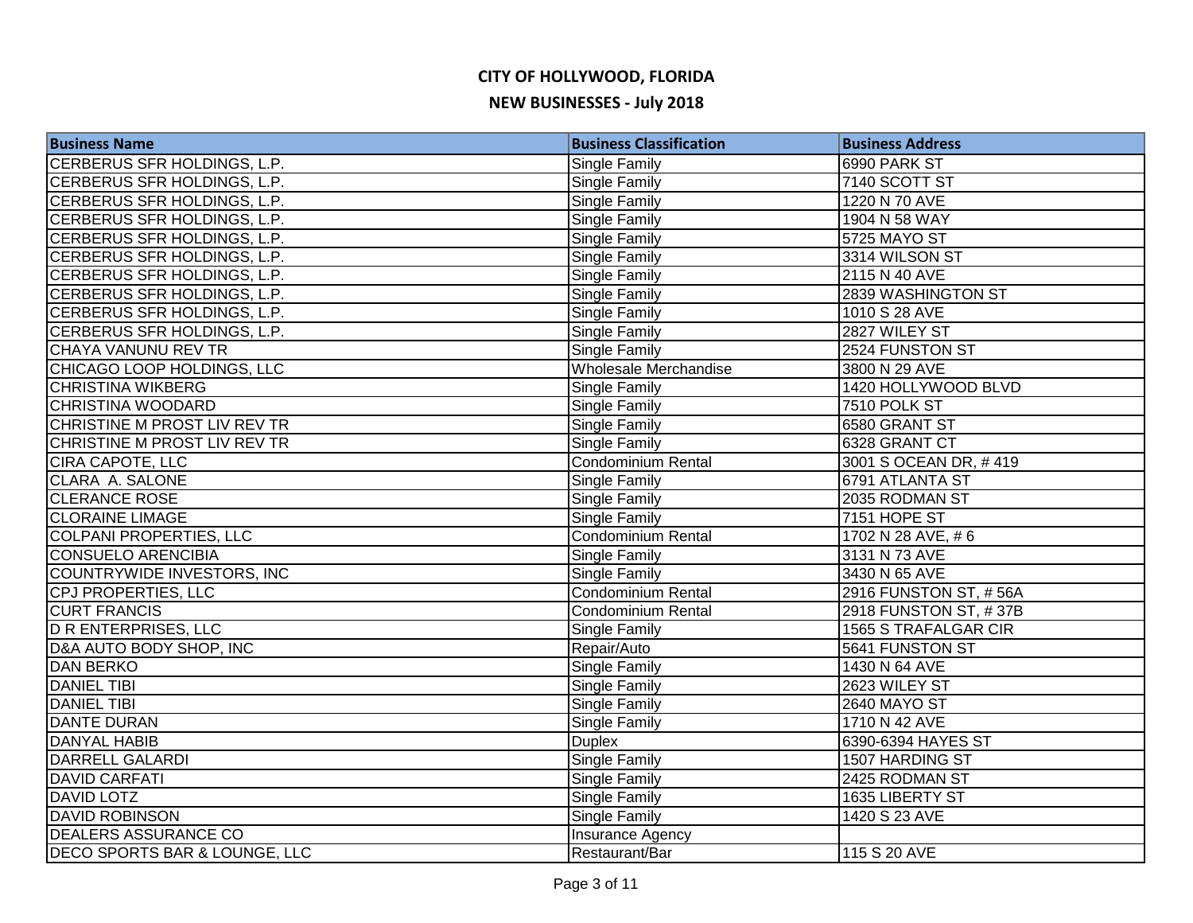| <b>Business Name</b>          | <b>Business Classification</b> | <b>Business Address</b>     |
|-------------------------------|--------------------------------|-----------------------------|
| CERBERUS SFR HOLDINGS, L.P.   | Single Family                  | 6990 PARK ST                |
| CERBERUS SFR HOLDINGS, L.P.   | Single Family                  | 7140 SCOTT ST               |
| CERBERUS SFR HOLDINGS, L.P.   | Single Family                  | 1220 N 70 AVE               |
| CERBERUS SFR HOLDINGS, L.P.   | Single Family                  | 1904 N 58 WAY               |
| CERBERUS SFR HOLDINGS, L.P.   | Single Family                  | 5725 MAYO ST                |
| CERBERUS SFR HOLDINGS, L.P.   | Single Family                  | 3314 WILSON ST              |
| CERBERUS SFR HOLDINGS, L.P.   | Single Family                  | 2115 N 40 AVE               |
| CERBERUS SFR HOLDINGS, L.P.   | Single Family                  | 2839 WASHINGTON ST          |
| CERBERUS SFR HOLDINGS, L.P.   | Single Family                  | 1010 S 28 AVE               |
| CERBERUS SFR HOLDINGS, L.P.   | Single Family                  | 2827 WILEY ST               |
| CHAYA VANUNU REV TR           | Single Family                  | 2524 FUNSTON ST             |
| CHICAGO LOOP HOLDINGS, LLC    | Wholesale Merchandise          | 3800 N 29 AVE               |
| <b>CHRISTINA WIKBERG</b>      | Single Family                  | 1420 HOLLYWOOD BLVD         |
| CHRISTINA WOODARD             | Single Family                  | 7510 POLK ST                |
| CHRISTINE M PROST LIV REV TR  | Single Family                  | 6580 GRANT ST               |
| CHRISTINE M PROST LIV REV TR  | Single Family                  | 6328 GRANT CT               |
| CIRA CAPOTE, LLC              | Condominium Rental             | 3001 S OCEAN DR, #419       |
| CLARA A. SALONE               | Single Family                  | 6791 ATLANTA ST             |
| <b>CLERANCE ROSE</b>          | Single Family                  | 2035 RODMAN ST              |
| <b>CLORAINE LIMAGE</b>        | Single Family                  | 7151 HOPE ST                |
| COLPANI PROPERTIES, LLC       | Condominium Rental             | 1702 N 28 AVE, #6           |
| CONSUELO ARENCIBIA            | Single Family                  | 3131 N 73 AVE               |
| COUNTRYWIDE INVESTORS, INC    | Single Family                  | 3430 N 65 AVE               |
| CPJ PROPERTIES, LLC           | Condominium Rental             | 2916 FUNSTON ST, #56A       |
| <b>CURT FRANCIS</b>           | <b>Condominium Rental</b>      | 2918 FUNSTON ST, #37B       |
| <b>DRENTERPRISES, LLC</b>     | Single Family                  | <b>1565 S TRAFALGAR CIR</b> |
| D&A AUTO BODY SHOP, INC       | Repair/Auto                    | 5641 FUNSTON ST             |
| <b>DAN BERKO</b>              | Single Family                  | 1430 N 64 AVE               |
| <b>DANIEL TIBI</b>            | Single Family                  | 2623 WILEY ST               |
| <b>DANIEL TIBI</b>            | Single Family                  | 2640 MAYO ST                |
| DANTE DURAN                   | Single Family                  | 1710 N 42 AVE               |
| <b>DANYAL HABIB</b>           | <b>Duplex</b>                  | 6390-6394 HAYES ST          |
| DARRELL GALARDI               | Single Family                  | 1507 HARDING ST             |
| <b>DAVID CARFATI</b>          | Single Family                  | 2425 RODMAN ST              |
| <b>DAVID LOTZ</b>             | Single Family                  | 1635 LIBERTY ST             |
| <b>DAVID ROBINSON</b>         | Single Family                  | 1420 S 23 AVE               |
| <b>DEALERS ASSURANCE CO</b>   | <b>Insurance Agency</b>        |                             |
| DECO SPORTS BAR & LOUNGE, LLC | Restaurant/Bar                 | 115 S 20 AVE                |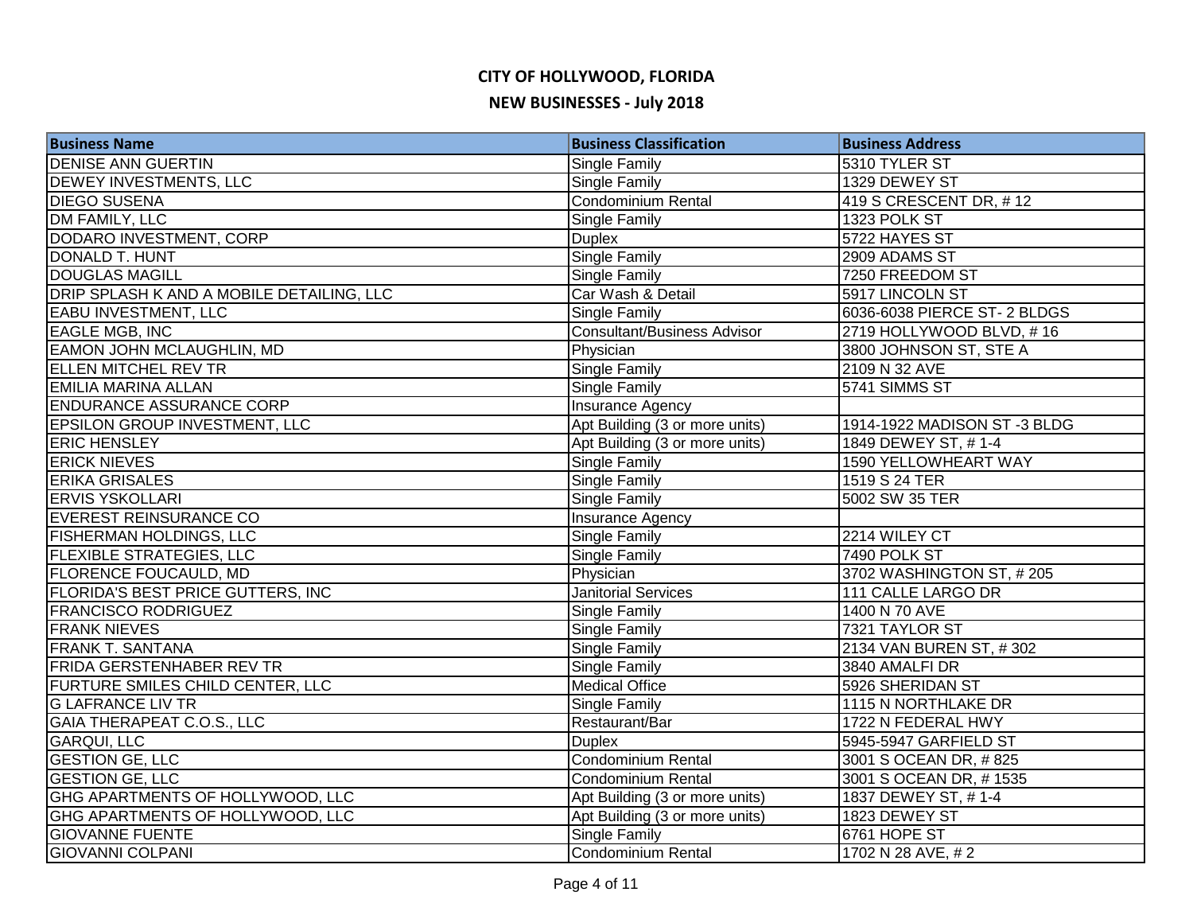| <b>Business Name</b>                      | <b>Business Classification</b>     | <b>Business Address</b>      |
|-------------------------------------------|------------------------------------|------------------------------|
| <b>DENISE ANN GUERTIN</b>                 | Single Family                      | 5310 TYLER ST                |
| <b>DEWEY INVESTMENTS, LLC</b>             | Single Family                      | 1329 DEWEY ST                |
| <b>DIEGO SUSENA</b>                       | Condominium Rental                 | 419 S CRESCENT DR, #12       |
| DM FAMILY, LLC                            | Single Family                      | 1323 POLK ST                 |
| DODARO INVESTMENT, CORP                   | <b>Duplex</b>                      | 5722 HAYES ST                |
| DONALD T. HUNT                            | <b>Single Family</b>               | 2909 ADAMS ST                |
| <b>DOUGLAS MAGILL</b>                     | <b>Single Family</b>               | 7250 FREEDOM ST              |
| DRIP SPLASH K AND A MOBILE DETAILING, LLC | Car Wash & Detail                  | 5917 LINCOLN ST              |
| <b>EABU INVESTMENT, LLC</b>               | <b>Single Family</b>               | 6036-6038 PIERCE ST- 2 BLDGS |
| <b>EAGLE MGB, INC</b>                     | <b>Consultant/Business Advisor</b> | 2719 HOLLYWOOD BLVD, #16     |
| <b>EAMON JOHN MCLAUGHLIN, MD</b>          | Physician                          | 3800 JOHNSON ST, STE A       |
| <b>ELLEN MITCHEL REV TR</b>               | Single Family                      | 2109 N 32 AVE                |
| EMILIA MARINA ALLAN                       | Single Family                      | 5741 SIMMS ST                |
| <b>ENDURANCE ASSURANCE CORP</b>           | Insurance Agency                   |                              |
| <b>EPSILON GROUP INVESTMENT, LLC</b>      | Apt Building (3 or more units)     | 1914-1922 MADISON ST-3 BLDG  |
| <b>ERIC HENSLEY</b>                       | Apt Building (3 or more units)     | 1849 DEWEY ST, #1-4          |
| <b>ERICK NIEVES</b>                       | <b>Single Family</b>               | 1590 YELLOWHEART WAY         |
| <b>ERIKA GRISALES</b>                     | Single Family                      | 1519 S 24 TER                |
| <b>ERVIS YSKOLLARI</b>                    | Single Family                      | 5002 SW 35 TER               |
| EVEREST REINSURANCE CO                    | Insurance Agency                   |                              |
| <b>FISHERMAN HOLDINGS, LLC</b>            | Single Family                      | 2214 WILEY CT                |
| <b>FLEXIBLE STRATEGIES, LLC</b>           | Single Family                      | 7490 POLK ST                 |
| <b>FLORENCE FOUCAULD, MD</b>              | Physician                          | 3702 WASHINGTON ST, #205     |
| <b>FLORIDA'S BEST PRICE GUTTERS, INC</b>  | <b>Janitorial Services</b>         | 111 CALLE LARGO DR           |
| <b>FRANCISCO RODRIGUEZ</b>                | Single Family                      | 1400 N 70 AVE                |
| <b>FRANK NIEVES</b>                       | <b>Single Family</b>               | 7321 TAYLOR ST               |
| <b>FRANK T. SANTANA</b>                   | <b>Single Family</b>               | 2134 VAN BUREN ST, #302      |
| <b>FRIDA GERSTENHABER REV TR</b>          | Single Family                      | 3840 AMALFI DR               |
| FURTURE SMILES CHILD CENTER, LLC          | <b>Medical Office</b>              | 5926 SHERIDAN ST             |
| <b>G LAFRANCE LIV TR</b>                  | Single Family                      | 1115 N NORTHLAKE DR          |
| GAIA THERAPEAT C.O.S., LLC                | Restaurant/Bar                     | 1722 N FEDERAL HWY           |
| <b>GARQUI, LLC</b>                        | <b>Duplex</b>                      | 5945-5947 GARFIELD ST        |
| <b>GESTION GE, LLC</b>                    | <b>Condominium Rental</b>          | 3001 S OCEAN DR, #825        |
| <b>GESTION GE, LLC</b>                    | Condominium Rental                 | 3001 S OCEAN DR, #1535       |
| GHG APARTMENTS OF HOLLYWOOD, LLC          | Apt Building (3 or more units)     | 1837 DEWEY ST, #1-4          |
| GHG APARTMENTS OF HOLLYWOOD, LLC          | Apt Building (3 or more units)     | 1823 DEWEY ST                |
| <b>GIOVANNE FUENTE</b>                    | <b>Single Family</b>               | 6761 HOPE ST                 |
| <b>GIOVANNI COLPANI</b>                   | <b>Condominium Rental</b>          | 1702 N 28 AVE, #2            |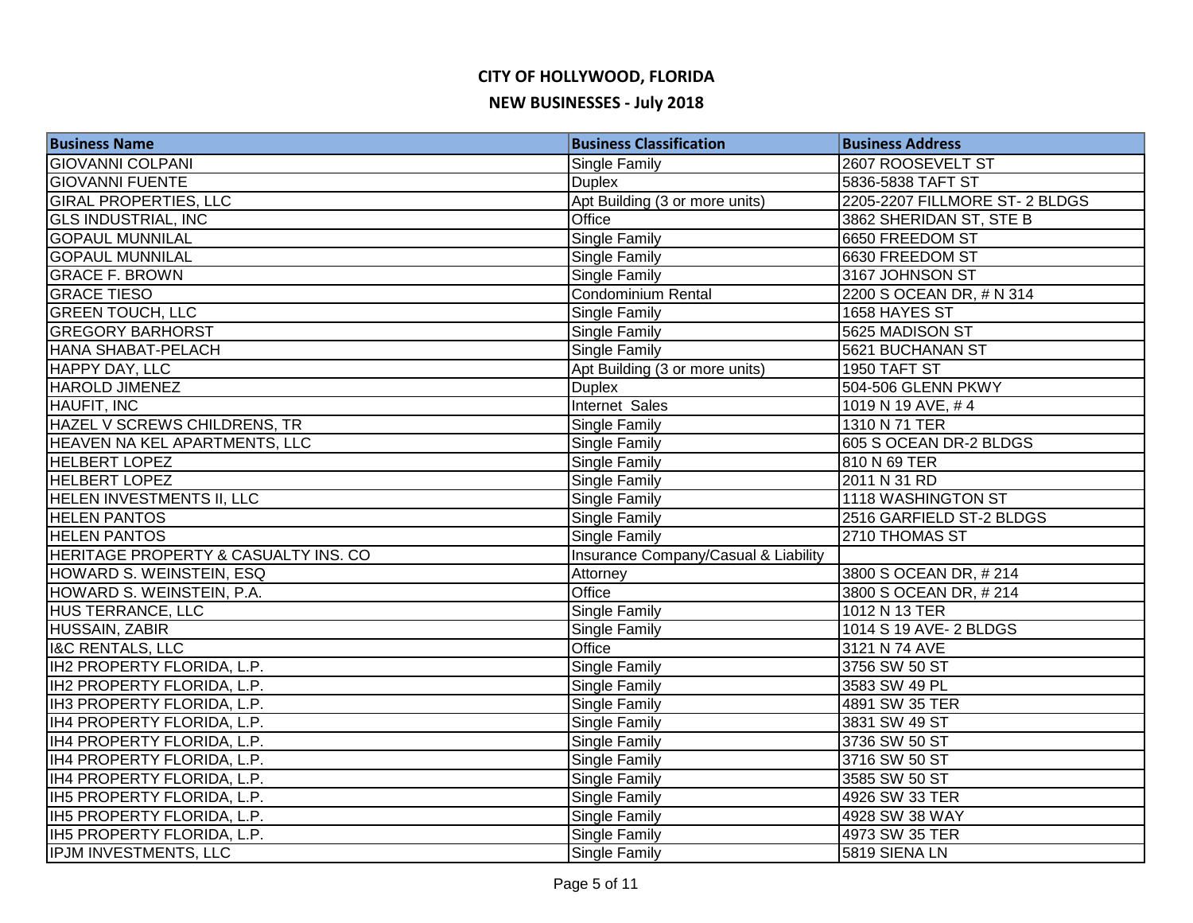| <b>Business Name</b>                 | <b>Business Classification</b>       | <b>Business Address</b>        |
|--------------------------------------|--------------------------------------|--------------------------------|
| <b>GIOVANNI COLPANI</b>              | <b>Single Family</b>                 | 2607 ROOSEVELT ST              |
| <b>GIOVANNI FUENTE</b>               | <b>Duplex</b>                        | 5836-5838 TAFT ST              |
| <b>GIRAL PROPERTIES, LLC</b>         | Apt Building (3 or more units)       | 2205-2207 FILLMORE ST- 2 BLDGS |
| <b>GLS INDUSTRIAL, INC</b>           | Office                               | 3862 SHERIDAN ST, STE B        |
| <b>GOPAUL MUNNILAL</b>               | <b>Single Family</b>                 | 6650 FREEDOM ST                |
| <b>GOPAUL MUNNILAL</b>               | <b>Single Family</b>                 | 6630 FREEDOM ST                |
| <b>GRACE F. BROWN</b>                | Single Family                        | 3167 JOHNSON ST                |
| <b>GRACE TIESO</b>                   | Condominium Rental                   | 2200 S OCEAN DR, # N 314       |
| <b>GREEN TOUCH, LLC</b>              | <b>Single Family</b>                 | 1658 HAYES ST                  |
| <b>GREGORY BARHORST</b>              | <b>Single Family</b>                 | 5625 MADISON ST                |
| HANA SHABAT-PELACH                   | <b>Single Family</b>                 | 5621 BUCHANAN ST               |
| HAPPY DAY, LLC                       | Apt Building (3 or more units)       | 1950 TAFT ST                   |
| HAROLD JIMENEZ                       | <b>Duplex</b>                        | 504-506 GLENN PKWY             |
| HAUFIT, INC                          | Internet Sales                       | 1019 N 19 AVE, #4              |
| HAZEL V SCREWS CHILDRENS, TR         | Single Family                        | 1310 N 71 TER                  |
| HEAVEN NA KEL APARTMENTS, LLC        | Single Family                        | 605 S OCEAN DR-2 BLDGS         |
| <b>HELBERT LOPEZ</b>                 | <b>Single Family</b>                 | 810 N 69 TER                   |
| <b>HELBERT LOPEZ</b>                 | Single Family                        | 2011 N 31 RD                   |
| <b>HELEN INVESTMENTS II, LLC</b>     | <b>Single Family</b>                 | 1118 WASHINGTON ST             |
| <b>HELEN PANTOS</b>                  | <b>Single Family</b>                 | 2516 GARFIELD ST-2 BLDGS       |
| <b>HELEN PANTOS</b>                  | <b>Single Family</b>                 | 2710 THOMAS ST                 |
| HERITAGE PROPERTY & CASUALTY INS. CO | Insurance Company/Casual & Liability |                                |
| HOWARD S. WEINSTEIN, ESQ             | Attorney                             | 3800 S OCEAN DR, # 214         |
| HOWARD S. WEINSTEIN, P.A.            | Office                               | 3800 S OCEAN DR, #214          |
| HUS TERRANCE, LLC                    | Single Family                        | 1012 N 13 TER                  |
| <b>HUSSAIN, ZABIR</b>                | <b>Single Family</b>                 | 1014 S 19 AVE- 2 BLDGS         |
| <b>I&amp;C RENTALS, LLC</b>          | Office                               | 3121 N 74 AVE                  |
| IH2 PROPERTY FLORIDA, L.P.           | Single Family                        | 3756 SW 50 ST                  |
| IH2 PROPERTY FLORIDA, L.P.           | <b>Single Family</b>                 | 3583 SW 49 PL                  |
| IH3 PROPERTY FLORIDA, L.P.           | Single Family                        | 4891 SW 35 TER                 |
| IH4 PROPERTY FLORIDA, L.P.           | Single Family                        | 3831 SW 49 ST                  |
| IH4 PROPERTY FLORIDA, L.P.           | Single Family                        | 3736 SW 50 ST                  |
| IH4 PROPERTY FLORIDA, L.P.           | Single Family                        | 3716 SW 50 ST                  |
| IH4 PROPERTY FLORIDA, L.P.           | Single Family                        | 3585 SW 50 ST                  |
| IH5 PROPERTY FLORIDA, L.P.           | Single Family                        | 4926 SW 33 TER                 |
| IH5 PROPERTY FLORIDA, L.P.           | <b>Single Family</b>                 | 4928 SW 38 WAY                 |
| IH5 PROPERTY FLORIDA, L.P.           | <b>Single Family</b>                 | 4973 SW 35 TER                 |
| IPJM INVESTMENTS, LLC                | Single Family                        | 5819 SIENA LN                  |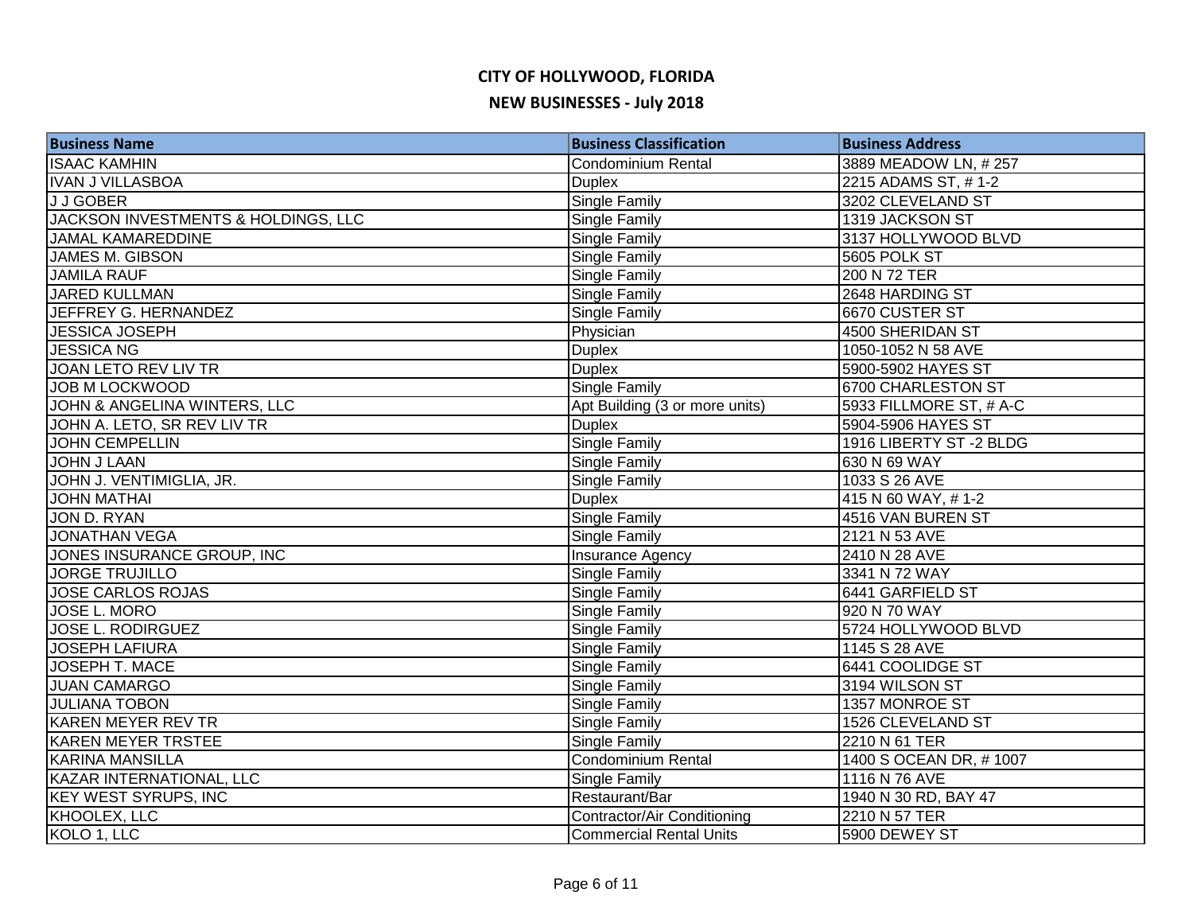| <b>Business Name</b>                | <b>Business Classification</b> | <b>Business Address</b> |
|-------------------------------------|--------------------------------|-------------------------|
| <b>ISAAC KAMHIN</b>                 | Condominium Rental             | 3889 MEADOW LN, #257    |
| IVAN J VILLASBOA                    | <b>Duplex</b>                  | 2215 ADAMS ST, #1-2     |
| <b>JJGOBER</b>                      | <b>Single Family</b>           | 3202 CLEVELAND ST       |
| JACKSON INVESTMENTS & HOLDINGS, LLC | Single Family                  | 1319 JACKSON ST         |
| <b>JAMAL KAMAREDDINE</b>            | Single Family                  | 3137 HOLLYWOOD BLVD     |
| JAMES M. GIBSON                     | <b>Single Family</b>           | 5605 POLK ST            |
| <b>JAMILA RAUF</b>                  | Single Family                  | 200 N 72 TER            |
| JARED KULLMAN                       | Single Family                  | 2648 HARDING ST         |
| JEFFREY G. HERNANDEZ                | Single Family                  | 6670 CUSTER ST          |
| <b>JESSICA JOSEPH</b>               | Physician                      | 4500 SHERIDAN ST        |
| <b>JESSICA NG</b>                   | <b>Duplex</b>                  | 1050-1052 N 58 AVE      |
| JOAN LETO REV LIV TR                | <b>Duplex</b>                  | 5900-5902 HAYES ST      |
| <b>JOB M LOCKWOOD</b>               | <b>Single Family</b>           | 6700 CHARLESTON ST      |
| JOHN & ANGELINA WINTERS, LLC        | Apt Building (3 or more units) | 5933 FILLMORE ST, # A-C |
| JOHN A. LETO, SR REV LIV TR         | <b>Duplex</b>                  | 5904-5906 HAYES ST      |
| <b>JOHN CEMPELLIN</b>               | Single Family                  | 1916 LIBERTY ST-2 BLDG  |
| <b>JOHN J LAAN</b>                  | Single Family                  | 630 N 69 WAY            |
| JOHN J. VENTIMIGLIA, JR.            | Single Family                  | 1033 S 26 AVE           |
| <b>JOHN MATHAI</b>                  | <b>Duplex</b>                  | 415 N 60 WAY, #1-2      |
| JON D. RYAN                         | Single Family                  | 4516 VAN BUREN ST       |
| <b>JONATHAN VEGA</b>                | Single Family                  | 2121 N 53 AVE           |
| JONES INSURANCE GROUP, INC          | <b>Insurance Agency</b>        | 2410 N 28 AVE           |
| <b>JORGE TRUJILLO</b>               | Single Family                  | 3341 N 72 WAY           |
| <b>JOSE CARLOS ROJAS</b>            | <b>Single Family</b>           | 6441 GARFIELD ST        |
| <b>JOSE L. MORO</b>                 | Single Family                  | 920 N 70 WAY            |
| <b>JOSE L. RODIRGUEZ</b>            | Single Family                  | 5724 HOLLYWOOD BLVD     |
| <b>JOSEPH LAFIURA</b>               | Single Family                  | 1145 S 28 AVE           |
| JOSEPH T. MACE                      | Single Family                  | 6441 COOLIDGE ST        |
| <b>JUAN CAMARGO</b>                 | Single Family                  | 3194 WILSON ST          |
| <b>JULIANA TOBON</b>                | Single Family                  | 1357 MONROE ST          |
| <b>KAREN MEYER REV TR</b>           | Single Family                  | 1526 CLEVELAND ST       |
| <b>KAREN MEYER TRSTEE</b>           | <b>Single Family</b>           | 2210 N 61 TER           |
| <b>KARINA MANSILLA</b>              | Condominium Rental             | 1400 S OCEAN DR, #1007  |
| KAZAR INTERNATIONAL, LLC            | Single Family                  | 1116 N 76 AVE           |
| <b>KEY WEST SYRUPS, INC</b>         | Restaurant/Bar                 | 1940 N 30 RD, BAY 47    |
| <b>KHOOLEX, LLC</b>                 | Contractor/Air Conditioning    | 2210 N 57 TER           |
| KOLO 1, LLC                         | <b>Commercial Rental Units</b> | 5900 DEWEY ST           |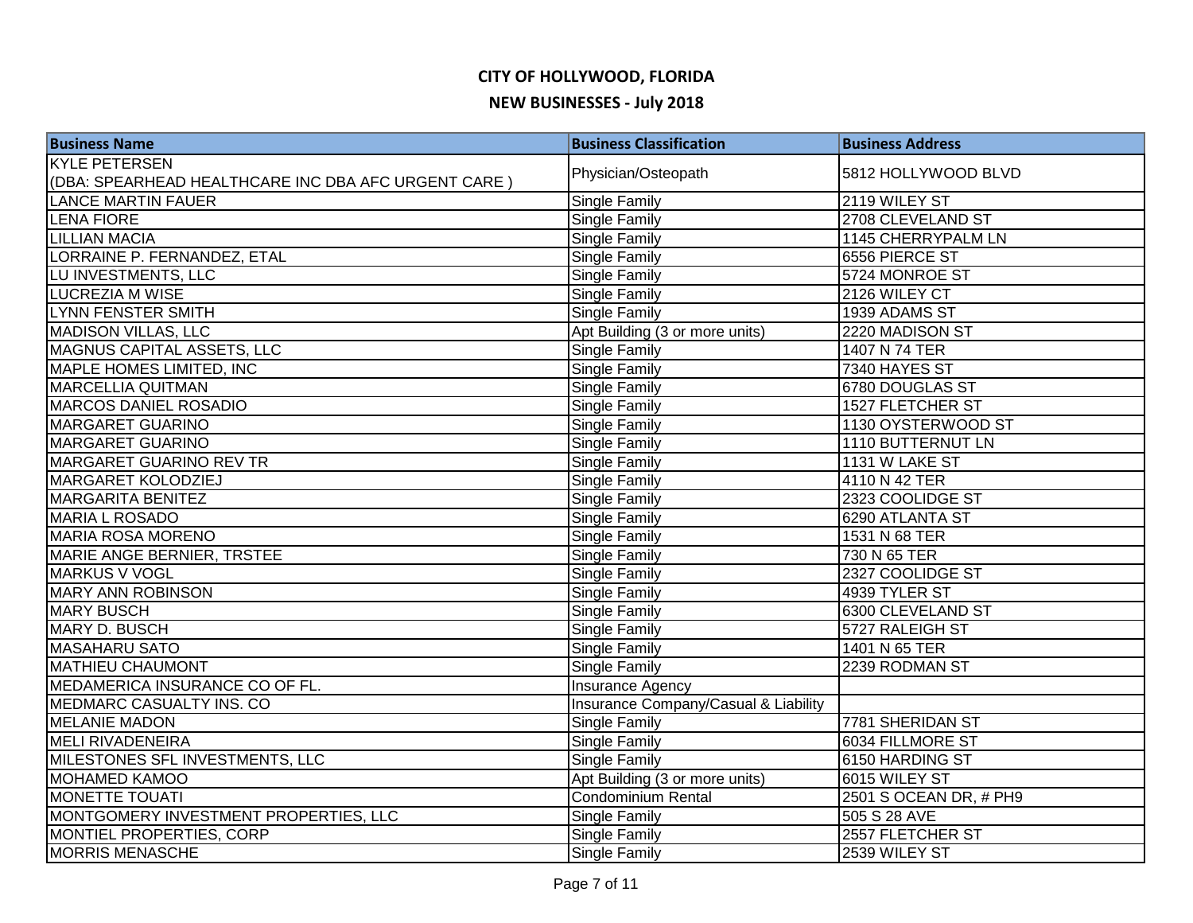# **CITY OF HOLLYWOOD, FLORIDA**

-

| <b>NEW BUSINESSES - July 2018</b> |  |
|-----------------------------------|--|
| $Durinacc$ Classification         |  |

| <b>Business Name</b>                                 | <b>Business Classification</b>       | <b>Business Address</b> |
|------------------------------------------------------|--------------------------------------|-------------------------|
| <b>KYLE PETERSEN</b>                                 | Physician/Osteopath                  | 5812 HOLLYWOOD BLVD     |
| (DBA: SPEARHEAD HEALTHCARE INC DBA AFC URGENT CARE ) |                                      |                         |
| <b>LANCE MARTIN FAUER</b>                            | Single Family                        | 2119 WILEY ST           |
| <b>LENA FIORE</b>                                    | Single Family                        | 2708 CLEVELAND ST       |
| <b>LILLIAN MACIA</b>                                 | Single Family                        | 1145 CHERRYPALM LN      |
| LORRAINE P. FERNANDEZ, ETAL                          | Single Family                        | 6556 PIERCE ST          |
| LU INVESTMENTS, LLC                                  | Single Family                        | 5724 MONROE ST          |
| <b>LUCREZIA M WISE</b>                               | Single Family                        | 2126 WILEY CT           |
| <b>LYNN FENSTER SMITH</b>                            | Single Family                        | 1939 ADAMS ST           |
| <b>MADISON VILLAS, LLC</b>                           | Apt Building (3 or more units)       | 2220 MADISON ST         |
| <b>MAGNUS CAPITAL ASSETS, LLC</b>                    | Single Family                        | 1407 N 74 TER           |
| MAPLE HOMES LIMITED, INC                             | Single Family                        | 7340 HAYES ST           |
| <b>MARCELLIA QUITMAN</b>                             | Single Family                        | 6780 DOUGLAS ST         |
| MARCOS DANIEL ROSADIO                                | Single Family                        | 1527 FLETCHER ST        |
| MARGARET GUARINO                                     | Single Family                        | 1130 OYSTERWOOD ST      |
| <b>MARGARET GUARINO</b>                              | Single Family                        | 1110 BUTTERNUT LN       |
| MARGARET GUARINO REV TR                              | Single Family                        | 1131 W LAKE ST          |
| MARGARET KOLODZIEJ                                   | Single Family                        | 4110 N 42 TER           |
| <b>MARGARITA BENITEZ</b>                             | Single Family                        | 2323 COOLIDGE ST        |
| <b>MARIA L ROSADO</b>                                | Single Family                        | 6290 ATLANTA ST         |
| <b>MARIA ROSA MORENO</b>                             | Single Family                        | 1531 N 68 TER           |
| <b>MARIE ANGE BERNIER, TRSTEE</b>                    | Single Family                        | 730 N 65 TER            |
| <b>MARKUS V VOGL</b>                                 | Single Family                        | 2327 COOLIDGE ST        |
| <b>MARY ANN ROBINSON</b>                             | Single Family                        | 4939 TYLER ST           |
| <b>MARY BUSCH</b>                                    | Single Family                        | 6300 CLEVELAND ST       |
| MARY D. BUSCH                                        | Single Family                        | 5727 RALEIGH ST         |
| <b>MASAHARU SATO</b>                                 | Single Family                        | 1401 N 65 TER           |
| <b>MATHIEU CHAUMONT</b>                              | Single Family                        | 2239 RODMAN ST          |
| MEDAMERICA INSURANCE CO OF FL.                       | Insurance Agency                     |                         |
| MEDMARC CASUALTY INS. CO                             | Insurance Company/Casual & Liability |                         |
| <b>MELANIE MADON</b>                                 | Single Family                        | 7781 SHERIDAN ST        |
| <b>MELI RIVADENEIRA</b>                              | Single Family                        | 6034 FILLMORE ST        |
| MILESTONES SFL INVESTMENTS, LLC                      | Single Family                        | 6150 HARDING ST         |
| <b>MOHAMED KAMOO</b>                                 | Apt Building (3 or more units)       | 6015 WILEY ST           |
| <b>MONETTE TOUATI</b>                                | Condominium Rental                   | 2501 S OCEAN DR, # PH9  |
| MONTGOMERY INVESTMENT PROPERTIES, LLC                | Single Family                        | 505 S 28 AVE            |
| MONTIEL PROPERTIES, CORP                             | Single Family                        | 2557 FLETCHER ST        |
| <b>MORRIS MENASCHE</b>                               | Single Family                        | 2539 WILEY ST           |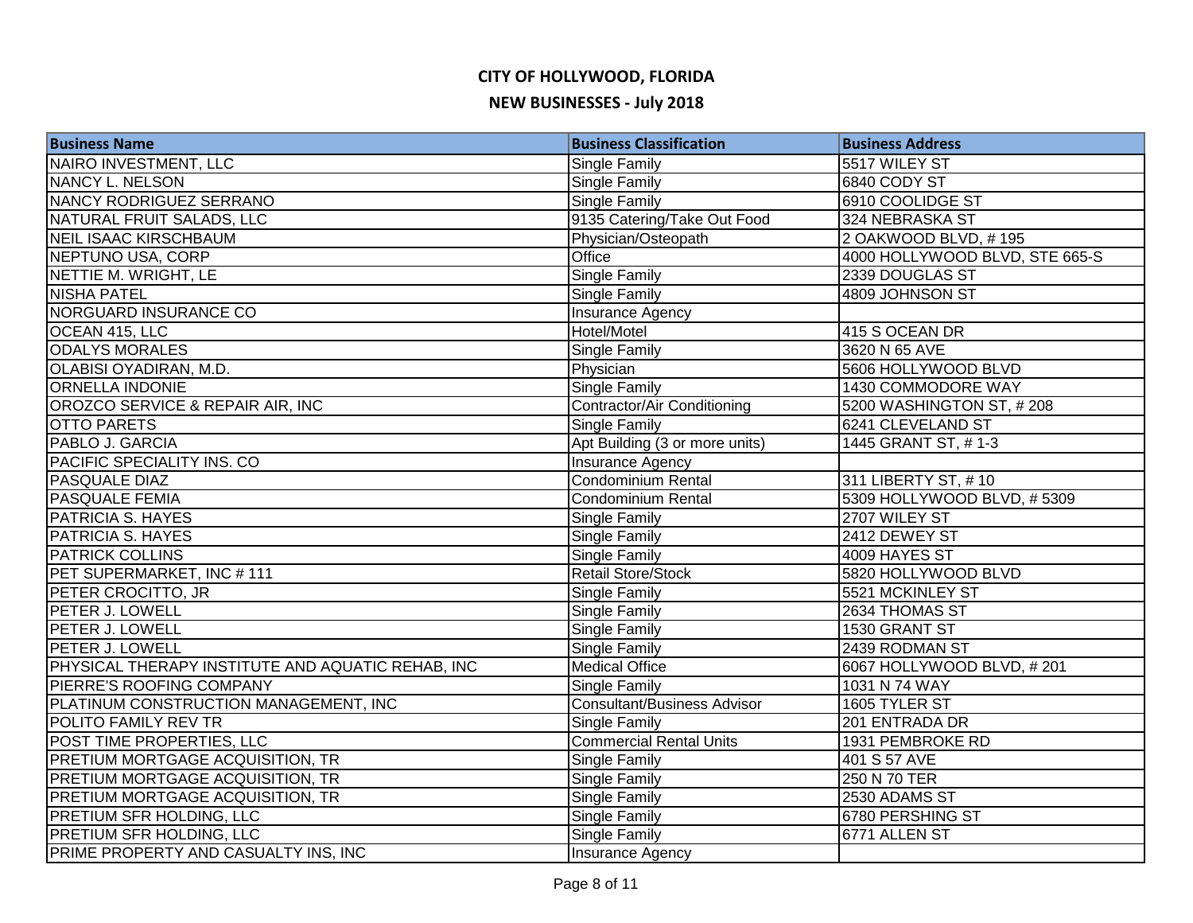| <b>Business Name</b>                              | <b>Business Classification</b>     | <b>Business Address</b>        |
|---------------------------------------------------|------------------------------------|--------------------------------|
| NAIRO INVESTMENT, LLC                             | <b>Single Family</b>               | 5517 WILEY ST                  |
| NANCY L. NELSON                                   | <b>Single Family</b>               | 6840 CODY ST                   |
| NANCY RODRIGUEZ SERRANO                           | Single Family                      | 6910 COOLIDGE ST               |
| NATURAL FRUIT SALADS, LLC                         | 9135 Catering/Take Out Food        | 324 NEBRASKA ST                |
| <b>NEIL ISAAC KIRSCHBAUM</b>                      | Physician/Osteopath                | 2 OAKWOOD BLVD, #195           |
| NEPTUNO USA, CORP                                 | Office                             | 4000 HOLLYWOOD BLVD, STE 665-S |
| NETTIE M. WRIGHT, LE                              | <b>Single Family</b>               | 2339 DOUGLAS ST                |
| <b>NISHA PATEL</b>                                | <b>Single Family</b>               | 4809 JOHNSON ST                |
| <b>NORGUARD INSURANCE CO</b>                      | <b>Insurance Agency</b>            |                                |
| OCEAN 415, LLC                                    | Hotel/Motel                        | 415 S OCEAN DR                 |
| <b>ODALYS MORALES</b>                             | Single Family                      | 3620 N 65 AVE                  |
| OLABISI OYADIRAN, M.D.                            | Physician                          | 5606 HOLLYWOOD BLVD            |
| <b>ORNELLA INDONIE</b>                            | <b>Single Family</b>               | 1430 COMMODORE WAY             |
| OROZCO SERVICE & REPAIR AIR, INC                  | Contractor/Air Conditioning        | 5200 WASHINGTON ST, #208       |
| <b>OTTO PARETS</b>                                | Single Family                      | 6241 CLEVELAND ST              |
| PABLO J. GARCIA                                   | Apt Building (3 or more units)     | 1445 GRANT ST, #1-3            |
| PACIFIC SPECIALITY INS. CO                        | <b>Insurance Agency</b>            |                                |
| <b>PASQUALE DIAZ</b>                              | Condominium Rental                 | 311 LIBERTY ST, #10            |
| <b>PASQUALE FEMIA</b>                             | <b>Condominium Rental</b>          | 5309 HOLLYWOOD BLVD, #5309     |
| PATRICIA S. HAYES                                 | <b>Single Family</b>               | 2707 WILEY ST                  |
| PATRICIA S. HAYES                                 | <b>Single Family</b>               | 2412 DEWEY ST                  |
| <b>PATRICK COLLINS</b>                            | Single Family                      | 4009 HAYES ST                  |
| PET SUPERMARKET, INC #111                         | Retail Store/Stock                 | 5820 HOLLYWOOD BLVD            |
| PETER CROCITTO, JR                                | Single Family                      | 5521 MCKINLEY ST               |
| PETER J. LOWELL                                   | <b>Single Family</b>               | 2634 THOMAS ST                 |
| PETER J. LOWELL                                   | <b>Single Family</b>               | 1530 GRANT ST                  |
| PETER J. LOWELL                                   | <b>Single Family</b>               | 2439 RODMAN ST                 |
| PHYSICAL THERAPY INSTITUTE AND AQUATIC REHAB, INC | <b>Medical Office</b>              | 6067 HOLLYWOOD BLVD, #201      |
| PIERRE'S ROOFING COMPANY                          | <b>Single Family</b>               | 1031 N 74 WAY                  |
| PLATINUM CONSTRUCTION MANAGEMENT, INC             | <b>Consultant/Business Advisor</b> | 1605 TYLER ST                  |
| POLITO FAMILY REV TR                              | Single Family                      | 201 ENTRADA DR                 |
| POST TIME PROPERTIES, LLC                         | <b>Commercial Rental Units</b>     | 1931 PEMBROKE RD               |
| <b>PRETIUM MORTGAGE ACQUISITION, TR</b>           | Single Family                      | 401 S 57 AVE                   |
| <b>PRETIUM MORTGAGE ACQUISITION, TR</b>           | Single Family                      | 250 N 70 TER                   |
| PRETIUM MORTGAGE ACQUISITION, TR                  | <b>Single Family</b>               | 2530 ADAMS ST                  |
| PRETIUM SFR HOLDING, LLC                          | Single Family                      | 6780 PERSHING ST               |
| <b>PRETIUM SFR HOLDING, LLC</b>                   | <b>Single Family</b>               | 6771 ALLEN ST                  |
| PRIME PROPERTY AND CASUALTY INS, INC              | <b>Insurance Agency</b>            |                                |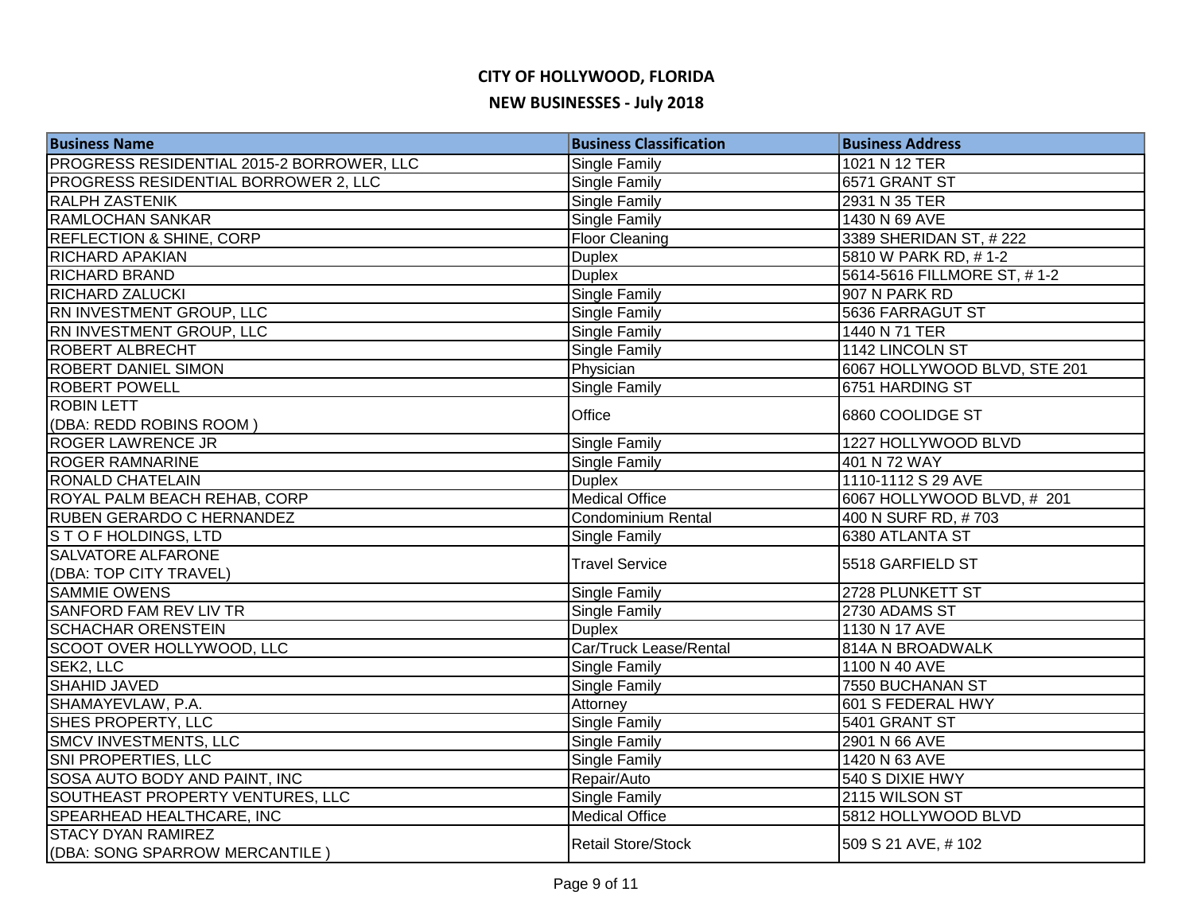| <b>Business Name</b>                      | <b>Business Classification</b> | <b>Business Address</b>      |
|-------------------------------------------|--------------------------------|------------------------------|
| PROGRESS RESIDENTIAL 2015-2 BORROWER, LLC | <b>Single Family</b>           | 1021 N 12 TER                |
| PROGRESS RESIDENTIAL BORROWER 2, LLC      | Single Family                  | 6571 GRANT ST                |
| <b>RALPH ZASTENIK</b>                     | Single Family                  | 2931 N 35 TER                |
| RAMLOCHAN SANKAR                          | Single Family                  | 1430 N 69 AVE                |
| <b>REFLECTION &amp; SHINE, CORP</b>       | <b>Floor Cleaning</b>          | 3389 SHERIDAN ST, #222       |
| <b>RICHARD APAKIAN</b>                    | <b>Duplex</b>                  | 5810 W PARK RD, #1-2         |
| <b>RICHARD BRAND</b>                      | <b>Duplex</b>                  | 5614-5616 FILLMORE ST, #1-2  |
| <b>RICHARD ZALUCKI</b>                    | <b>Single Family</b>           | 907 N PARK RD                |
| RN INVESTMENT GROUP, LLC                  | Single Family                  | 5636 FARRAGUT ST             |
| RN INVESTMENT GROUP, LLC                  | <b>Single Family</b>           | 1440 N 71 TER                |
| <b>ROBERT ALBRECHT</b>                    | Single Family                  | 1142 LINCOLN ST              |
| <b>ROBERT DANIEL SIMON</b>                | Physician                      | 6067 HOLLYWOOD BLVD, STE 201 |
| <b>ROBERT POWELL</b>                      | Single Family                  | 6751 HARDING ST              |
| <b>ROBIN LETT</b>                         | Office                         | 6860 COOLIDGE ST             |
| (DBA: REDD ROBINS ROOM)                   |                                |                              |
| <b>ROGER LAWRENCE JR</b>                  | Single Family                  | 1227 HOLLYWOOD BLVD          |
| <b>ROGER RAMNARINE</b>                    | Single Family                  | 401 N 72 WAY                 |
| <b>RONALD CHATELAIN</b>                   | <b>Duplex</b>                  | 1110-1112 S 29 AVE           |
| ROYAL PALM BEACH REHAB, CORP              | <b>Medical Office</b>          | 6067 HOLLYWOOD BLVD, #201    |
| <b>RUBEN GERARDO C HERNANDEZ</b>          | Condominium Rental             | 400 N SURF RD, #703          |
| STOFHOLDINGS, LTD                         | Single Family                  | 6380 ATLANTA ST              |
| <b>SALVATORE ALFARONE</b>                 | <b>Travel Service</b>          | 5518 GARFIELD ST             |
| (DBA: TOP CITY TRAVEL)                    |                                |                              |
| <b>SAMMIE OWENS</b>                       | Single Family                  | 2728 PLUNKETT ST             |
| <b>SANFORD FAM REV LIV TR</b>             | <b>Single Family</b>           | 2730 ADAMS ST                |
| <b>SCHACHAR ORENSTEIN</b>                 | <b>Duplex</b>                  | 1130 N 17 AVE                |
| SCOOT OVER HOLLYWOOD, LLC                 | Car/Truck Lease/Rental         | 814A N BROADWALK             |
| SEK2, LLC                                 | <b>Single Family</b>           | 1100 N 40 AVE                |
| <b>SHAHID JAVED</b>                       | Single Family                  | 7550 BUCHANAN ST             |
| SHAMAYEVLAW, P.A.                         | Attorney                       | 601 S FEDERAL HWY            |
| SHES PROPERTY, LLC                        | Single Family                  | 5401 GRANT ST                |
| <b>SMCV INVESTMENTS, LLC</b>              | Single Family                  | 2901 N 66 AVE                |
| SNI PROPERTIES, LLC                       | Single Family                  | 1420 N 63 AVE                |
| SOSA AUTO BODY AND PAINT, INC             | Repair/Auto                    | 540 S DIXIE HWY              |
| SOUTHEAST PROPERTY VENTURES, LLC          | <b>Single Family</b>           | 2115 WILSON ST               |
| SPEARHEAD HEALTHCARE, INC                 | <b>Medical Office</b>          | 5812 HOLLYWOOD BLVD          |
| <b>STACY DYAN RAMIREZ</b>                 | <b>Retail Store/Stock</b>      | 509 S 21 AVE, #102           |
| (DBA: SONG SPARROW MERCANTILE)            |                                |                              |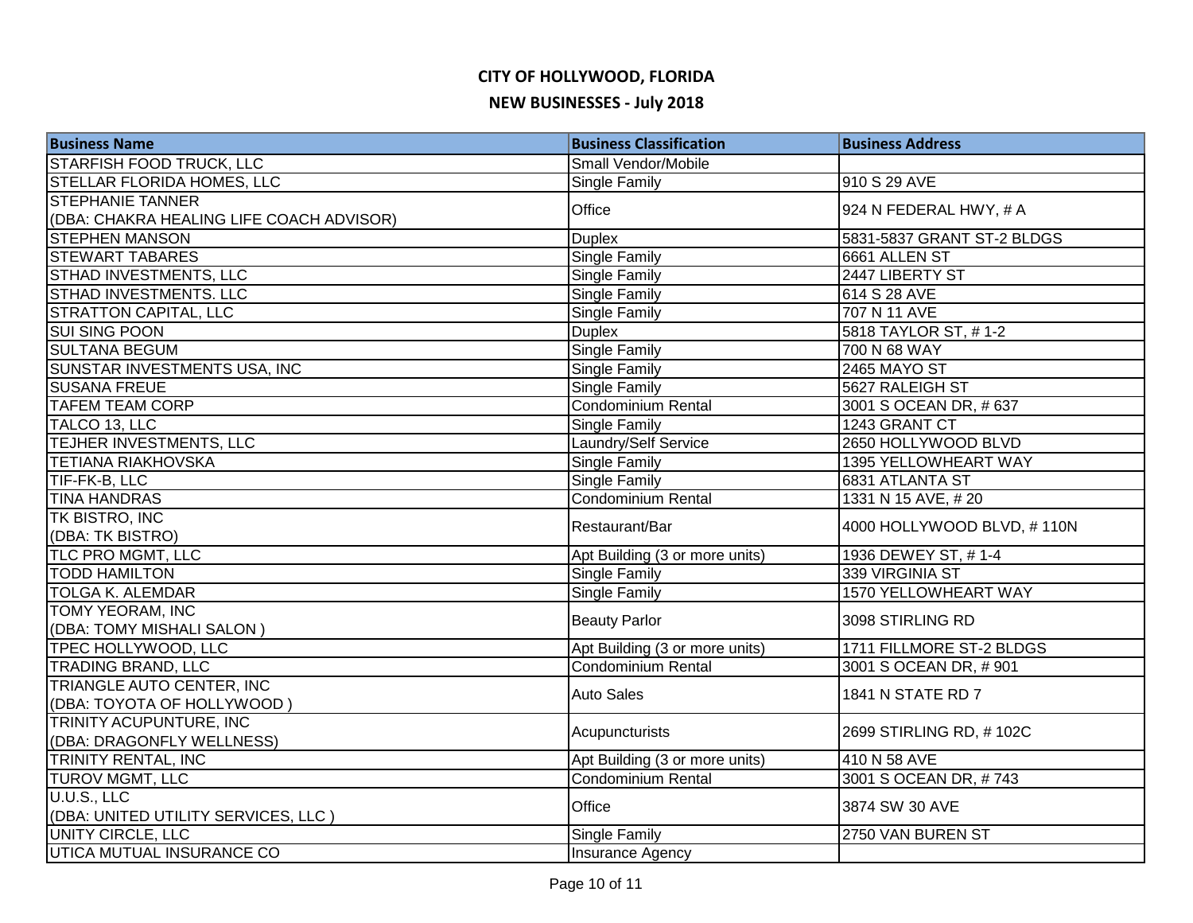## **CITY OF HOLLYWOOD, FLORIDA**

#### **NEW BUSINESSES - July 2018**

| <b>Business Name</b>                     | <b>Business Classification</b> | <b>Business Address</b>    |
|------------------------------------------|--------------------------------|----------------------------|
| <b>STARFISH FOOD TRUCK, LLC</b>          | Small Vendor/Mobile            |                            |
| STELLAR FLORIDA HOMES, LLC               | Single Family                  | 910 S 29 AVE               |
| <b>STEPHANIE TANNER</b>                  | Office                         | 924 N FEDERAL HWY, # A     |
| (DBA: CHAKRA HEALING LIFE COACH ADVISOR) |                                |                            |
| <b>STEPHEN MANSON</b>                    | <b>Duplex</b>                  | 5831-5837 GRANT ST-2 BLDGS |
| <b>STEWART TABARES</b>                   | <b>Single Family</b>           | 6661 ALLEN ST              |
| STHAD INVESTMENTS, LLC                   | Single Family                  | 2447 LIBERTY ST            |
| STHAD INVESTMENTS. LLC                   | <b>Single Family</b>           | 614 S 28 AVE               |
| <b>STRATTON CAPITAL, LLC</b>             | Single Family                  | 707 N 11 AVE               |
| <b>SUI SING POON</b>                     | <b>Duplex</b>                  | 5818 TAYLOR ST, #1-2       |
| <b>SULTANA BEGUM</b>                     | <b>Single Family</b>           | 700 N 68 WAY               |
| SUNSTAR INVESTMENTS USA, INC             | Single Family                  | 2465 MAYO ST               |
| <b>SUSANA FREUE</b>                      | Single Family                  | 5627 RALEIGH ST            |
| <b>TAFEM TEAM CORP</b>                   | <b>Condominium Rental</b>      | 3001 S OCEAN DR, #637      |
| TALCO 13, LLC                            | Single Family                  | 1243 GRANT CT              |
| TEJHER INVESTMENTS, LLC                  | Laundry/Self Service           | 2650 HOLLYWOOD BLVD        |
| <b>TETIANA RIAKHOVSKA</b>                | Single Family                  | 1395 YELLOWHEART WAY       |
| TIF-FK-B, LLC                            | Single Family                  | 6831 ATLANTA ST            |
| <b>TINA HANDRAS</b>                      | Condominium Rental             | 1331 N 15 AVE, #20         |
| TK BISTRO, INC                           | Restaurant/Bar                 | 4000 HOLLYWOOD BLVD, #110N |
| (DBA: TK BISTRO)                         |                                |                            |
| TLC PRO MGMT, LLC                        | Apt Building (3 or more units) | 1936 DEWEY ST, #1-4        |
| <b>TODD HAMILTON</b>                     | Single Family                  | 339 VIRGINIA ST            |
| <b>TOLGA K. ALEMDAR</b>                  | Single Family                  | 1570 YELLOWHEART WAY       |
| <b>TOMY YEORAM, INC</b>                  | <b>Beauty Parlor</b>           | 3098 STIRLING RD           |
| (DBA: TOMY MISHALI SALON)                |                                |                            |
| TPEC HOLLYWOOD, LLC                      | Apt Building (3 or more units) | 1711 FILLMORE ST-2 BLDGS   |
| <b>TRADING BRAND, LLC</b>                | Condominium Rental             | 3001 S OCEAN DR, #901      |
| TRIANGLE AUTO CENTER, INC                | <b>Auto Sales</b>              | 1841 N STATE RD 7          |
| (DBA: TOYOTA OF HOLLYWOOD)               |                                |                            |
| TRINITY ACUPUNTURE, INC                  | Acupuncturists                 | 2699 STIRLING RD, #102C    |
| (DBA: DRAGONFLY WELLNESS)                |                                |                            |
| TRINITY RENTAL, INC                      | Apt Building (3 or more units) | 410 N 58 AVE               |
| <b>TUROV MGMT, LLC</b>                   | Condominium Rental             | 3001 S OCEAN DR, #743      |
| U.U.S., LLC                              | Office                         | 3874 SW 30 AVE             |
| (DBA: UNITED UTILITY SERVICES, LLC)      |                                |                            |
| <b>UNITY CIRCLE, LLC</b>                 | <b>Single Family</b>           | 2750 VAN BUREN ST          |
| UTICA MUTUAL INSURANCE CO                | <b>Insurance Agency</b>        |                            |